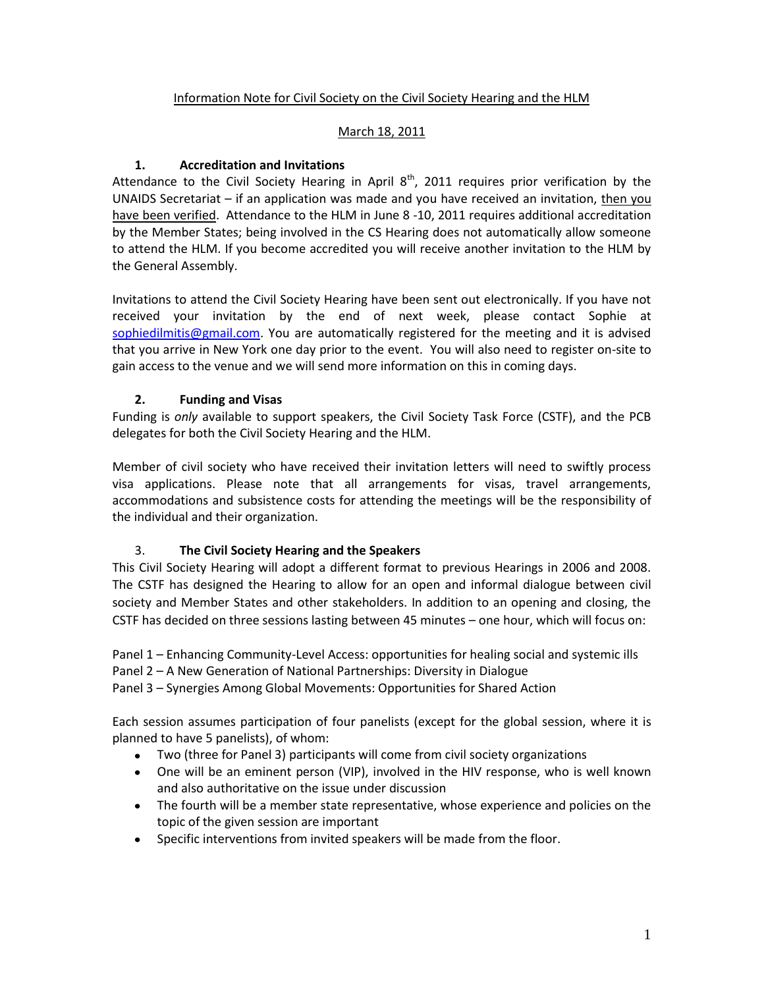# Information Note for Civil Society on the Civil Society Hearing and the HLM

#### March 18, 2011

#### **1. Accreditation and Invitations**

Attendance to the Civil Society Hearing in April  $8<sup>th</sup>$ , 2011 requires prior verification by the UNAIDS Secretariat – if an application was made and you have received an invitation, then you have been verified. Attendance to the HLM in June 8 -10, 2011 requires additional accreditation by the Member States; being involved in the CS Hearing does not automatically allow someone to attend the HLM. If you become accredited you will receive another invitation to the HLM by the General Assembly.

Invitations to attend the Civil Society Hearing have been sent out electronically. If you have not received your invitation by the end of next week, please contact Sophie at [sophiedilmitis@gmail.com.](mailto:sophiedilmitis@gmail.com) You are automatically registered for the meeting and it is advised that you arrive in New York one day prior to the event. You will also need to register on-site to gain access to the venue and we will send more information on this in coming days.

#### **2. Funding and Visas**

Funding is *only* available to support speakers, the Civil Society Task Force (CSTF), and the PCB delegates for both the Civil Society Hearing and the HLM.

Member of civil society who have received their invitation letters will need to swiftly process visa applications. Please note that all arrangements for visas, travel arrangements, accommodations and subsistence costs for attending the meetings will be the responsibility of the individual and their organization.

# 3. **The Civil Society Hearing and the Speakers**

This Civil Society Hearing will adopt a different format to previous Hearings in 2006 and 2008. The CSTF has designed the Hearing to allow for an open and informal dialogue between civil society and Member States and other stakeholders. In addition to an opening and closing, the CSTF has decided on three sessions lasting between 45 minutes – one hour, which will focus on:

Panel 1 – Enhancing Community-Level Access: opportunities for healing social and systemic ills Panel 2 – A New Generation of National Partnerships: Diversity in Dialogue

Panel 3 – Synergies Among Global Movements: Opportunities for Shared Action

Each session assumes participation of four panelists (except for the global session, where it is planned to have 5 panelists), of whom:

- Two (three for Panel 3) participants will come from civil society organizations
- One will be an eminent person (VIP), involved in the HIV response, who is well known and also authoritative on the issue under discussion
- The fourth will be a member state representative, whose experience and policies on the topic of the given session are important
- Specific interventions from invited speakers will be made from the floor.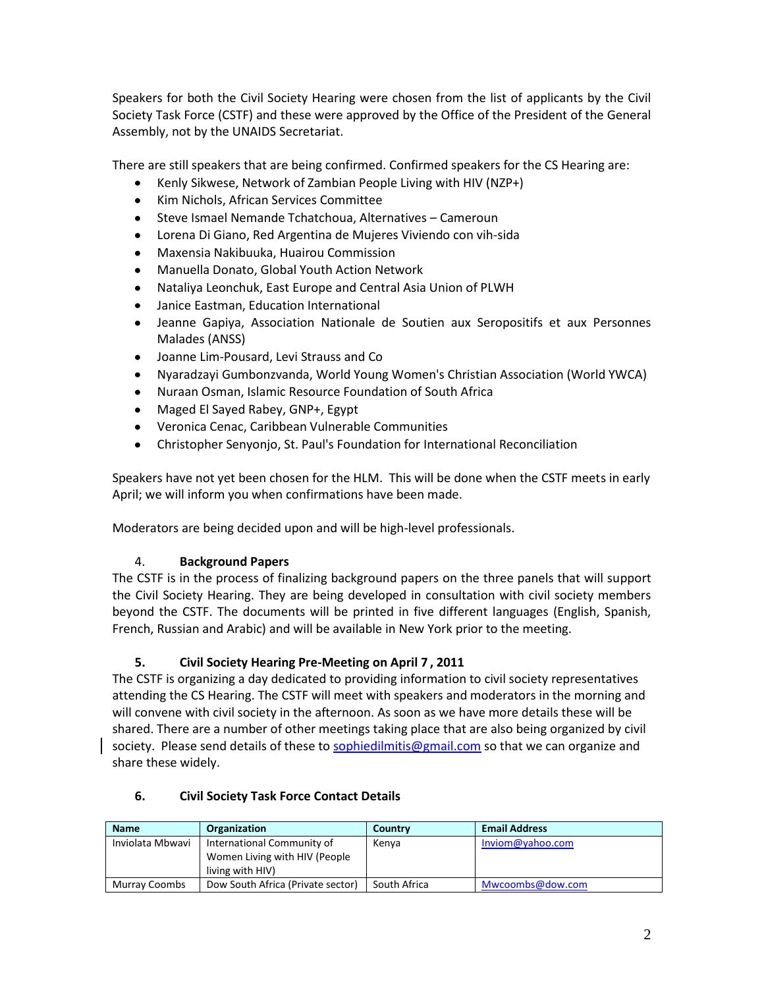Speakers for both the Civil Society Hearing were chosen from the list of applicants by the Civil Society Task Force (CSTF) and these were approved by the Office of the President of the General Assembly, not by the UNAIDS Secretariat.

There are still speakers that are being confirmed. Confirmed speakers for the CS Hearing are:

- $\bullet$ Kenly Sikwese, Network of Zambian People Living with HIV (NZP+)
- Kim Nichols, African Services Committee
- $\bullet$ Steve Ismael Nemande Tchatchoua, Alternatives – Cameroun
- Lorena Di Giano, Red Argentina de Mujeres Viviendo con vih-sida
- Maxensia Nakibuuka, Huairou Commission
- Manuella Donato, Global Youth Action Network
- Nataliya Leonchuk, East Europe and Central Asia Union of PLWH  $\bullet$
- Janice Eastman, Education International  $\bullet$
- $\bullet$ Jeanne Gapiya, Association Nationale de Soutien aux Seropositifs et aux Personnes Malades (ANSS)
- Joanne Lim-Pousard, Levi Strauss and Co
- Nyaradzayi Gumbonzvanda, World Young Women's Christian Association (World YWCA)  $\bullet$
- Nuraan Osman, Islamic Resource Foundation of South Africa
- Maged El Sayed Rabey, GNP+, Egypt
- Veronica Cenac, Caribbean Vulnerable Communities
- $\bullet$ Christopher Senyonjo, St. Paul's Foundation for International Reconciliation

Speakers have not yet been chosen for the HLM. This will be done when the CSTF meets in early April; we will inform you when confirmations have been made.

Moderators are being decided upon and will be high-level professionals.

# 4. **Background Papers**

The CSTF is in the process of finalizing background papers on the three panels that will support the Civil Society Hearing. They are being developed in consultation with civil society members beyond the CSTF. The documents will be printed in five different languages (English, Spanish, French, Russian and Arabic) and will be available in New York prior to the meeting.

# **5. Civil Society Hearing Pre-Meeting on April 7 , 2011**

The CSTF is organizing a day dedicated to providing information to civil society representatives attending the CS Hearing. The CSTF will meet with speakers and moderators in the morning and will convene with civil society in the afternoon. As soon as we have more details these will be shared. There are a number of other meetings taking place that are also being organized by civil society. Please send details of these to [sophiedilmitis@gmail.com](mailto:sophiedilmitis@gmail.com) so that we can organize and share these widely.

# **6. Civil Society Task Force Contact Details**

| <b>Name</b>          | Organization                      | Country      | <b>Email Address</b> |
|----------------------|-----------------------------------|--------------|----------------------|
| Inviolata Mbwavi     | International Community of        | Kenya        | Inviom@yahoo.com     |
|                      | Women Living with HIV (People     |              |                      |
|                      | living with HIV)                  |              |                      |
| <b>Murray Coombs</b> | Dow South Africa (Private sector) | South Africa | Mwcoombs@dow.com     |